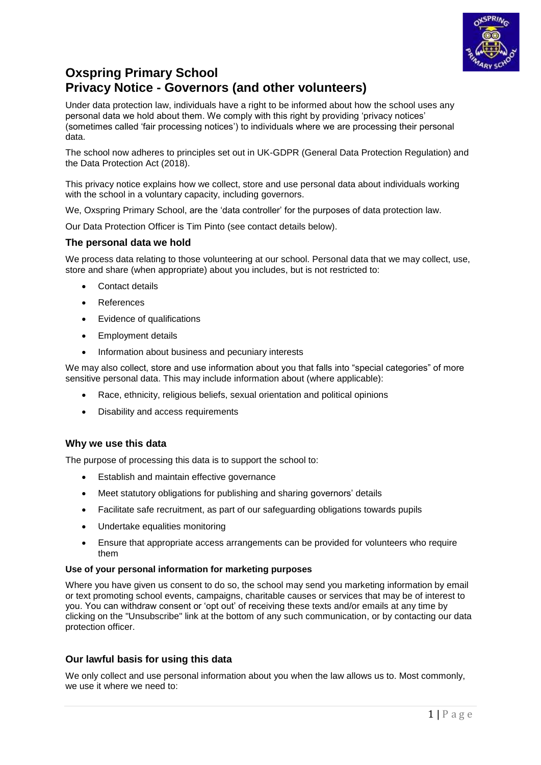

# **Oxspring Primary School Privacy Notice - Governors (and other volunteers)**

Under data protection law, individuals have a right to be informed about how the school uses any personal data we hold about them. We comply with this right by providing 'privacy notices' (sometimes called 'fair processing notices') to individuals where we are processing their personal data.

The school now adheres to principles set out in UK-GDPR (General Data Protection Regulation) and the Data Protection Act (2018).

This privacy notice explains how we collect, store and use personal data about individuals working with the school in a voluntary capacity, including governors.

We, Oxspring Primary School, are the 'data controller' for the purposes of data protection law.

Our Data Protection Officer is Tim Pinto (see contact details below).

# **The personal data we hold**

We process data relating to those volunteering at our school. Personal data that we may collect, use, store and share (when appropriate) about you includes, but is not restricted to:

- Contact details
- References
- Evidence of qualifications
- Employment details
- Information about business and pecuniary interests

We may also collect, store and use information about you that falls into "special categories" of more sensitive personal data. This may include information about (where applicable):

- Race, ethnicity, religious beliefs, sexual orientation and political opinions
- Disability and access requirements

## **Why we use this data**

The purpose of processing this data is to support the school to:

- **Establish and maintain effective governance**
- Meet statutory obligations for publishing and sharing governors' details
- Facilitate safe recruitment, as part of our safeguarding obligations towards pupils
- Undertake equalities monitoring
- Ensure that appropriate access arrangements can be provided for volunteers who require them

## **Use of your personal information for marketing purposes**

Where you have given us consent to do so, the school may send you marketing information by email or text promoting school events, campaigns, charitable causes or services that may be of interest to you. You can withdraw consent or 'opt out' of receiving these texts and/or emails at any time by clicking on the "Unsubscribe" link at the bottom of any such communication, or by contacting our data protection officer.

# **Our lawful basis for using this data**

We only collect and use personal information about you when the law allows us to. Most commonly, we use it where we need to: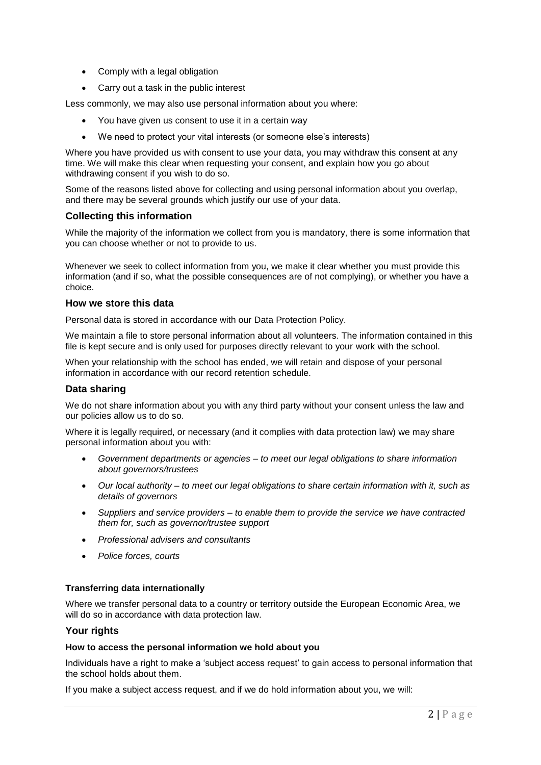- Comply with a legal obligation
- Carry out a task in the public interest

Less commonly, we may also use personal information about you where:

- You have given us consent to use it in a certain way
- We need to protect your vital interests (or someone else's interests)

Where you have provided us with consent to use your data, you may withdraw this consent at any time. We will make this clear when requesting your consent, and explain how you go about withdrawing consent if you wish to do so.

Some of the reasons listed above for collecting and using personal information about you overlap, and there may be several grounds which justify our use of your data.

## **Collecting this information**

While the majority of the information we collect from you is mandatory, there is some information that you can choose whether or not to provide to us.

Whenever we seek to collect information from you, we make it clear whether you must provide this information (and if so, what the possible consequences are of not complying), or whether you have a choice.

#### **How we store this data**

Personal data is stored in accordance with our Data Protection Policy.

We maintain a file to store personal information about all volunteers. The information contained in this file is kept secure and is only used for purposes directly relevant to your work with the school.

When your relationship with the school has ended, we will retain and dispose of your personal information in accordance with our record retention schedule.

## **Data sharing**

We do not share information about you with any third party without your consent unless the law and our policies allow us to do so.

Where it is legally required, or necessary (and it complies with data protection law) we may share personal information about you with:

- *Government departments or agencies – to meet our legal obligations to share information about governors/trustees*
- *Our local authority – to meet our legal obligations to share certain information with it, such as details of governors*
- *Suppliers and service providers – to enable them to provide the service we have contracted them for, such as governor/trustee support*
- *Professional advisers and consultants*
- *Police forces, courts*

## **Transferring data internationally**

Where we transfer personal data to a country or territory outside the European Economic Area, we will do so in accordance with data protection law.

## **Your rights**

#### **How to access the personal information we hold about you**

Individuals have a right to make a 'subject access request' to gain access to personal information that the school holds about them.

If you make a subject access request, and if we do hold information about you, we will: